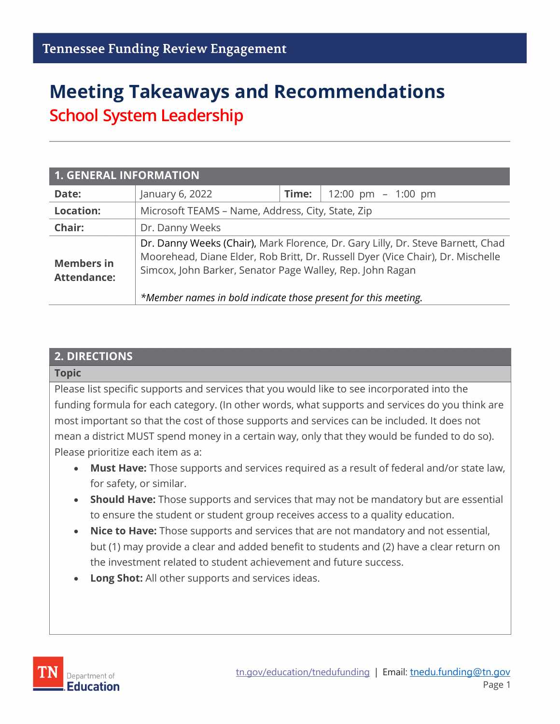# **Meeting Takeaways and Recommendations School System Leadership**

| <b>1. GENERAL INFORMATION</b>           |                                                                                                                                                                                                                                                                                                   |       |                      |  |
|-----------------------------------------|---------------------------------------------------------------------------------------------------------------------------------------------------------------------------------------------------------------------------------------------------------------------------------------------------|-------|----------------------|--|
| Date:                                   | January 6, 2022                                                                                                                                                                                                                                                                                   | Time: | 12:00 pm $-$ 1:00 pm |  |
| <b>Location:</b>                        | Microsoft TEAMS - Name, Address, City, State, Zip                                                                                                                                                                                                                                                 |       |                      |  |
| Chair:                                  | Dr. Danny Weeks                                                                                                                                                                                                                                                                                   |       |                      |  |
| <b>Members in</b><br><b>Attendance:</b> | Dr. Danny Weeks (Chair), Mark Florence, Dr. Gary Lilly, Dr. Steve Barnett, Chad<br>Moorehead, Diane Elder, Rob Britt, Dr. Russell Dyer (Vice Chair), Dr. Mischelle<br>Simcox, John Barker, Senator Page Walley, Rep. John Ragan<br>*Member names in bold indicate those present for this meeting. |       |                      |  |

#### **2. DIRECTIONS**

#### **Topic**

Please list specific supports and services that you would like to see incorporated into the funding formula for each category. (In other words, what supports and services do you think are most important so that the cost of those supports and services can be included. It does not mean a district MUST spend money in a certain way, only that they would be funded to do so). Please prioritize each item as a:

- **Must Have:** Those supports and services required as a result of federal and/or state law, for safety, or similar.
- **Should Have:** Those supports and services that may not be mandatory but are essential to ensure the student or student group receives access to a quality education.
- **Nice to Have:** Those supports and services that are not mandatory and not essential, but (1) may provide a clear and added benefit to students and (2) have a clear return on the investment related to student achievement and future success.
- **Long Shot:** All other supports and services ideas.

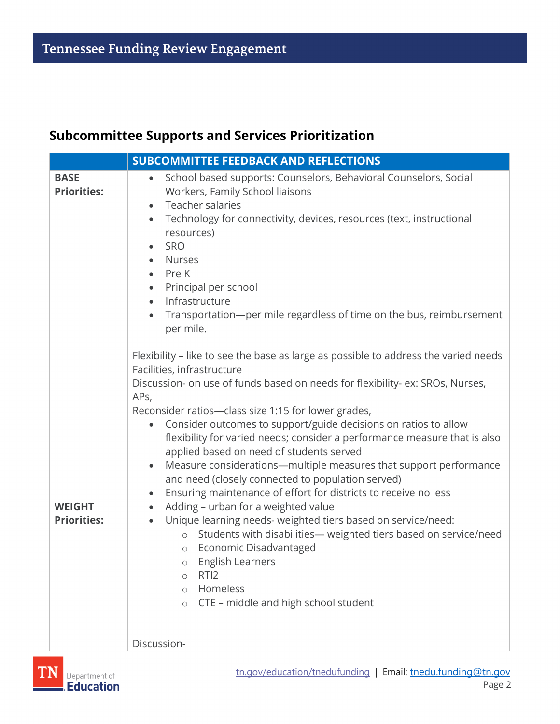#### **Subcommittee Supports and Services Prioritization**

|                                     | <b>SUBCOMMITTEE FEEDBACK AND REFLECTIONS</b>                                                                                                                                                                                                                                                                                                                                                                                                                                                                                                                                                                                                                                         |
|-------------------------------------|--------------------------------------------------------------------------------------------------------------------------------------------------------------------------------------------------------------------------------------------------------------------------------------------------------------------------------------------------------------------------------------------------------------------------------------------------------------------------------------------------------------------------------------------------------------------------------------------------------------------------------------------------------------------------------------|
| <b>BASE</b><br><b>Priorities:</b>   | School based supports: Counselors, Behavioral Counselors, Social<br>$\bullet$<br>Workers, Family School liaisons<br>Teacher salaries<br>$\bullet$<br>Technology for connectivity, devices, resources (text, instructional<br>$\bullet$<br>resources)<br><b>SRO</b><br>Nurses<br>Pre K<br>Principal per school<br>$\bullet$<br>Infrastructure<br>$\bullet$<br>Transportation-per mile regardless of time on the bus, reimbursement<br>per mile.                                                                                                                                                                                                                                       |
|                                     | Flexibility - like to see the base as large as possible to address the varied needs<br>Facilities, infrastructure<br>Discussion- on use of funds based on needs for flexibility- ex: SROs, Nurses,<br>APs,<br>Reconsider ratios-class size 1:15 for lower grades,<br>Consider outcomes to support/guide decisions on ratios to allow<br>flexibility for varied needs; consider a performance measure that is also<br>applied based on need of students served<br>Measure considerations-multiple measures that support performance<br>$\bullet$<br>and need (closely connected to population served)<br>Ensuring maintenance of effort for districts to receive no less<br>$\bullet$ |
| <b>WEIGHT</b><br><b>Priorities:</b> | Adding - urban for a weighted value<br>$\bullet$<br>Unique learning needs- weighted tiers based on service/need:<br>$\bullet$<br>Students with disabilities- weighted tiers based on service/need<br>$\circ$<br>Economic Disadvantaged<br>$\circ$<br>English Learners<br>$\bigcirc$<br>RTI <sub>2</sub><br>$\circ$<br>Homeless<br>$\circ$<br>CTE - middle and high school student<br>$\circ$<br>Discussion-                                                                                                                                                                                                                                                                          |